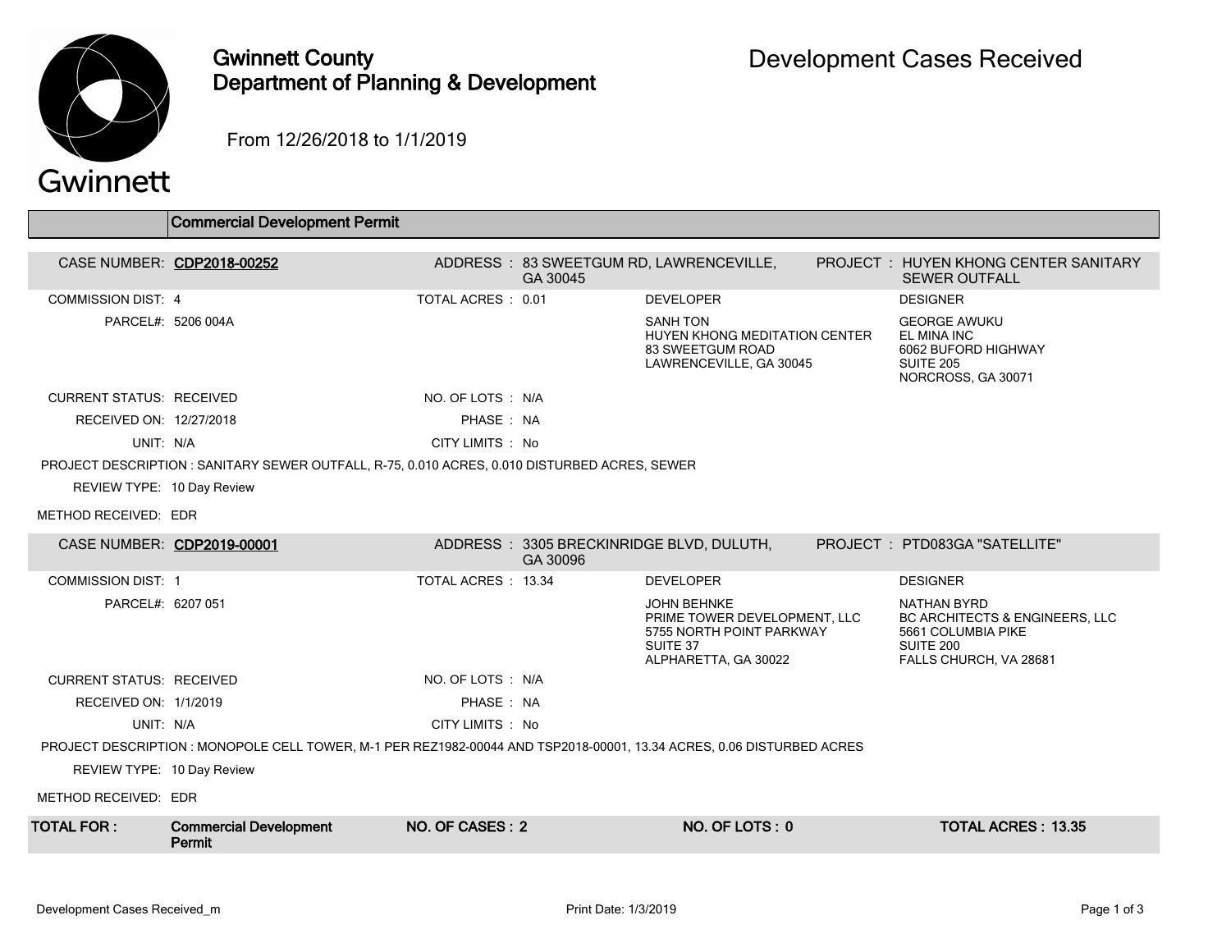

## Gwinnett County Department of Planning & Development

From 12/26/2018 to 1/1/2019

|                                                                                                                       | <b>Commercial Development Permit</b>                                                          |                    |          |                                                                                                                    |  |                                                                                                                       |  |
|-----------------------------------------------------------------------------------------------------------------------|-----------------------------------------------------------------------------------------------|--------------------|----------|--------------------------------------------------------------------------------------------------------------------|--|-----------------------------------------------------------------------------------------------------------------------|--|
|                                                                                                                       |                                                                                               |                    |          |                                                                                                                    |  |                                                                                                                       |  |
|                                                                                                                       | CASE NUMBER: CDP2018-00252                                                                    |                    | GA 30045 | ADDRESS: 83 SWEETGUM RD, LAWRENCEVILLE,                                                                            |  | PROJECT : HUYEN KHONG CENTER SANITARY<br><b>SEWER OUTFALL</b>                                                         |  |
| <b>COMMISSION DIST: 4</b>                                                                                             |                                                                                               | TOTAL ACRES: 0.01  |          | <b>DEVELOPER</b>                                                                                                   |  | <b>DESIGNER</b>                                                                                                       |  |
|                                                                                                                       | PARCEL#: 5206 004A                                                                            |                    |          | <b>SANH TON</b><br>HUYEN KHONG MEDITATION CENTER<br>83 SWEETGUM ROAD<br>LAWRENCEVILLE, GA 30045                    |  | <b>GEORGE AWUKU</b><br>EL MINA INC<br>6062 BUFORD HIGHWAY<br>SUITE 205<br>NORCROSS, GA 30071                          |  |
| <b>CURRENT STATUS: RECEIVED</b>                                                                                       |                                                                                               | NO. OF LOTS : N/A  |          |                                                                                                                    |  |                                                                                                                       |  |
| RECEIVED ON: 12/27/2018                                                                                               |                                                                                               | PHASE: NA          |          |                                                                                                                    |  |                                                                                                                       |  |
| UNIT: N/A                                                                                                             |                                                                                               | CITY LIMITS: No    |          |                                                                                                                    |  |                                                                                                                       |  |
|                                                                                                                       | PROJECT DESCRIPTION : SANITARY SEWER OUTFALL, R-75, 0.010 ACRES, 0.010 DISTURBED ACRES, SEWER |                    |          |                                                                                                                    |  |                                                                                                                       |  |
| REVIEW TYPE: 10 Day Review                                                                                            |                                                                                               |                    |          |                                                                                                                    |  |                                                                                                                       |  |
| METHOD RECEIVED: EDR                                                                                                  |                                                                                               |                    |          |                                                                                                                    |  |                                                                                                                       |  |
|                                                                                                                       | CASE NUMBER: CDP2019-00001                                                                    |                    | GA 30096 | ADDRESS: 3305 BRECKINRIDGE BLVD, DULUTH,                                                                           |  | PROJECT : PTD083GA "SATELLITE"                                                                                        |  |
| <b>COMMISSION DIST: 1</b>                                                                                             |                                                                                               | TOTAL ACRES: 13.34 |          | <b>DEVELOPER</b>                                                                                                   |  | <b>DESIGNER</b>                                                                                                       |  |
| PARCEL#: 6207 051                                                                                                     |                                                                                               |                    |          | <b>JOHN BEHNKE</b><br>PRIME TOWER DEVELOPMENT, LLC<br>5755 NORTH POINT PARKWAY<br>SUITE 37<br>ALPHARETTA, GA 30022 |  | NATHAN BYRD<br><b>BC ARCHITECTS &amp; ENGINEERS, LLC</b><br>5661 COLUMBIA PIKE<br>SUITE 200<br>FALLS CHURCH, VA 28681 |  |
| <b>CURRENT STATUS: RECEIVED</b>                                                                                       |                                                                                               | NO. OF LOTS: N/A   |          |                                                                                                                    |  |                                                                                                                       |  |
| RECEIVED ON: 1/1/2019                                                                                                 |                                                                                               | PHASE: NA          |          |                                                                                                                    |  |                                                                                                                       |  |
| UNIT: N/A                                                                                                             |                                                                                               | CITY LIMITS : No   |          |                                                                                                                    |  |                                                                                                                       |  |
| PROJECT DESCRIPTION : MONOPOLE CELL TOWER, M-1 PER REZ1982-00044 AND TSP2018-00001, 13.34 ACRES, 0.06 DISTURBED ACRES |                                                                                               |                    |          |                                                                                                                    |  |                                                                                                                       |  |
| REVIEW TYPE: 10 Day Review                                                                                            |                                                                                               |                    |          |                                                                                                                    |  |                                                                                                                       |  |
| METHOD RECEIVED: EDR                                                                                                  |                                                                                               |                    |          |                                                                                                                    |  |                                                                                                                       |  |
| <b>TOTAL FOR:</b>                                                                                                     | <b>Commercial Development</b><br>Permit                                                       | NO. OF CASES: 2    |          | NO. OF LOTS: 0                                                                                                     |  | <b>TOTAL ACRES: 13.35</b>                                                                                             |  |
|                                                                                                                       |                                                                                               |                    |          |                                                                                                                    |  |                                                                                                                       |  |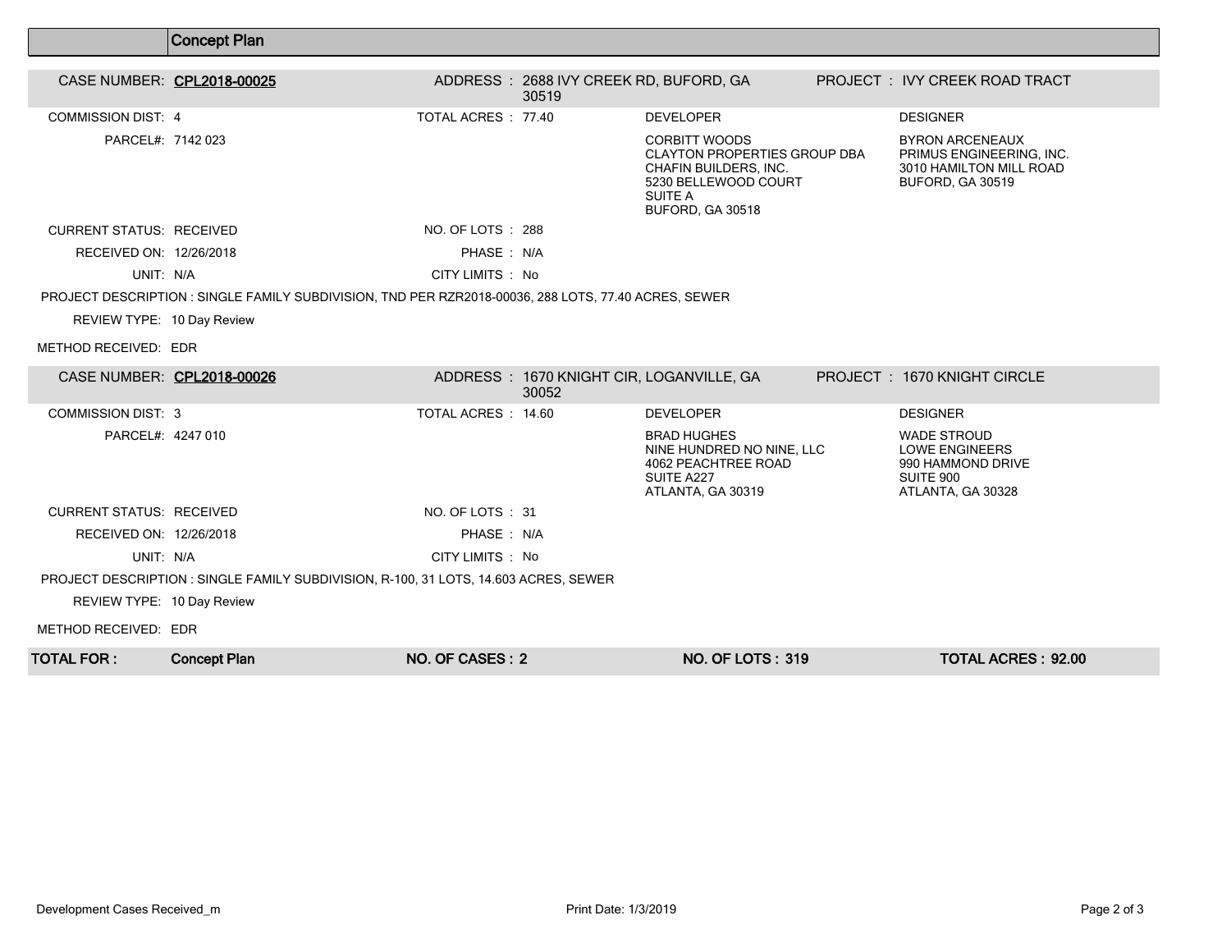|                                                                                      | <b>Concept Plan</b>                                                                                  |                     |                                                 |                                                                                                                                                    |  |                                                                                                    |  |
|--------------------------------------------------------------------------------------|------------------------------------------------------------------------------------------------------|---------------------|-------------------------------------------------|----------------------------------------------------------------------------------------------------------------------------------------------------|--|----------------------------------------------------------------------------------------------------|--|
| CASE NUMBER: CPL2018-00025                                                           |                                                                                                      |                     | ADDRESS: 2688 IVY CREEK RD, BUFORD, GA<br>30519 |                                                                                                                                                    |  | PROJECT: IVY CREEK ROAD TRACT                                                                      |  |
| <b>COMMISSION DIST: 4</b>                                                            |                                                                                                      | TOTAL ACRES: 77.40  |                                                 | <b>DEVELOPER</b>                                                                                                                                   |  | <b>DESIGNER</b>                                                                                    |  |
| PARCEL#: 7142 023                                                                    |                                                                                                      |                     |                                                 | <b>CORBITT WOODS</b><br><b>CLAYTON PROPERTIES GROUP DBA</b><br>CHAFIN BUILDERS, INC.<br>5230 BELLEWOOD COURT<br><b>SUITE A</b><br>BUFORD, GA 30518 |  | <b>BYRON ARCENEAUX</b><br>PRIMUS ENGINEERING, INC.<br>3010 HAMILTON MILL ROAD<br>BUFORD, GA 30519  |  |
| <b>CURRENT STATUS: RECEIVED</b>                                                      |                                                                                                      | NO. OF LOTS : 288   |                                                 |                                                                                                                                                    |  |                                                                                                    |  |
| RECEIVED ON: 12/26/2018                                                              |                                                                                                      | PHASE: N/A          |                                                 |                                                                                                                                                    |  |                                                                                                    |  |
| UNIT: N/A                                                                            |                                                                                                      | CITY LIMITS : No    |                                                 |                                                                                                                                                    |  |                                                                                                    |  |
|                                                                                      | PROJECT DESCRIPTION : SINGLE FAMILY SUBDIVISION, TND PER RZR2018-00036, 288 LOTS, 77.40 ACRES, SEWER |                     |                                                 |                                                                                                                                                    |  |                                                                                                    |  |
| REVIEW TYPE: 10 Day Review                                                           |                                                                                                      |                     |                                                 |                                                                                                                                                    |  |                                                                                                    |  |
| METHOD RECEIVED: EDR                                                                 |                                                                                                      |                     |                                                 |                                                                                                                                                    |  |                                                                                                    |  |
| CASE NUMBER: CPL2018-00026                                                           |                                                                                                      |                     | 30052                                           | ADDRESS: 1670 KNIGHT CIR, LOGANVILLE, GA                                                                                                           |  | PROJECT: 1670 KNIGHT CIRCLE                                                                        |  |
| <b>COMMISSION DIST: 3</b>                                                            |                                                                                                      | TOTAL ACRES : 14.60 |                                                 | <b>DEVELOPER</b>                                                                                                                                   |  | <b>DESIGNER</b>                                                                                    |  |
| PARCEL#: 4247 010                                                                    |                                                                                                      |                     |                                                 | <b>BRAD HUGHES</b><br>NINE HUNDRED NO NINE, LLC<br>4062 PEACHTREE ROAD<br>SUITE A227<br>ATLANTA, GA 30319                                          |  | <b>WADE STROUD</b><br><b>LOWE ENGINEERS</b><br>990 HAMMOND DRIVE<br>SUITE 900<br>ATLANTA, GA 30328 |  |
| CURRENT STATUS RECEIVED                                                              |                                                                                                      | NO. OF LOTS: 31     |                                                 |                                                                                                                                                    |  |                                                                                                    |  |
| RECEIVED ON: 12/26/2018                                                              |                                                                                                      | PHASE: N/A          |                                                 |                                                                                                                                                    |  |                                                                                                    |  |
| UNIT: N/A                                                                            |                                                                                                      | CITY LIMITS : No    |                                                 |                                                                                                                                                    |  |                                                                                                    |  |
| PROJECT DESCRIPTION : SINGLE FAMILY SUBDIVISION, R-100, 31 LOTS, 14.603 ACRES, SEWER |                                                                                                      |                     |                                                 |                                                                                                                                                    |  |                                                                                                    |  |
| REVIEW TYPE: 10 Day Review                                                           |                                                                                                      |                     |                                                 |                                                                                                                                                    |  |                                                                                                    |  |
| METHOD RECEIVED: EDR                                                                 |                                                                                                      |                     |                                                 |                                                                                                                                                    |  |                                                                                                    |  |
| TOTAL FOR :                                                                          | <b>Concept Plan</b>                                                                                  | NO. OF CASES: 2     |                                                 | <b>NO. OF LOTS: 319</b>                                                                                                                            |  | <b>TOTAL ACRES: 92.00</b>                                                                          |  |

 $\overline{\Gamma}$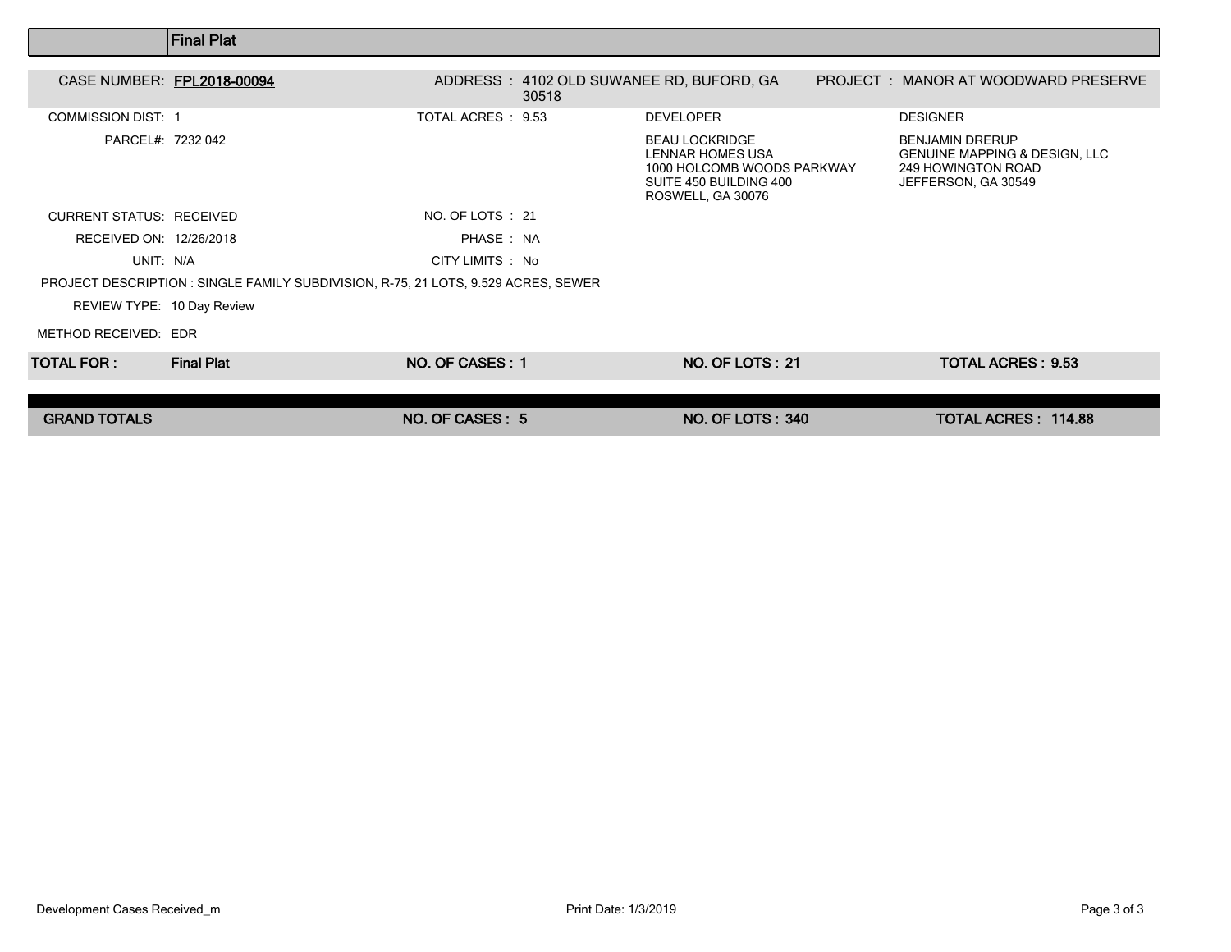|                                 | <b>Final Plat</b>                                                                  |                    |                                                                                                                        |                                                                                                                 |  |
|---------------------------------|------------------------------------------------------------------------------------|--------------------|------------------------------------------------------------------------------------------------------------------------|-----------------------------------------------------------------------------------------------------------------|--|
| CASE NUMBER: FPL2018-00094      |                                                                                    | 30518              | ADDRESS: 4102 OLD SUWANEE RD, BUFORD, GA                                                                               | PROJECT : MANOR AT WOODWARD PRESERVE                                                                            |  |
| <b>COMMISSION DIST: 1</b>       |                                                                                    | TOTAL ACRES : 9.53 | <b>DEVELOPER</b>                                                                                                       | <b>DESIGNER</b>                                                                                                 |  |
| PARCEL#: 7232 042               |                                                                                    |                    | <b>BEAU LOCKRIDGE</b><br>LENNAR HOMES USA<br>1000 HOLCOMB WOODS PARKWAY<br>SUITE 450 BUILDING 400<br>ROSWELL, GA 30076 | <b>BENJAMIN DRERUP</b><br><b>GENUINE MAPPING &amp; DESIGN, LLC</b><br>249 HOWINGTON ROAD<br>JEFFERSON, GA 30549 |  |
| <b>CURRENT STATUS: RECEIVED</b> |                                                                                    | NO. OF LOTS : 21   |                                                                                                                        |                                                                                                                 |  |
| RECEIVED ON: 12/26/2018         |                                                                                    | PHASE: NA          |                                                                                                                        |                                                                                                                 |  |
| UNIT: N/A                       |                                                                                    | CITY LIMITS : No   |                                                                                                                        |                                                                                                                 |  |
|                                 | PROJECT DESCRIPTION : SINGLE FAMILY SUBDIVISION, R-75, 21 LOTS, 9.529 ACRES, SEWER |                    |                                                                                                                        |                                                                                                                 |  |
| REVIEW TYPE: 10 Day Review      |                                                                                    |                    |                                                                                                                        |                                                                                                                 |  |
| METHOD RECEIVED: EDR            |                                                                                    |                    |                                                                                                                        |                                                                                                                 |  |
| TOTAL FOR :                     | <b>Final Plat</b>                                                                  | NO. OF CASES: 1    | <b>NO. OF LOTS: 21</b>                                                                                                 | <b>TOTAL ACRES: 9.53</b>                                                                                        |  |
|                                 |                                                                                    |                    |                                                                                                                        |                                                                                                                 |  |
| <b>GRAND TOTALS</b>             |                                                                                    | NO. OF CASES: 5    | <b>NO. OF LOTS: 340</b>                                                                                                | <b>TOTAL ACRES: 114.88</b>                                                                                      |  |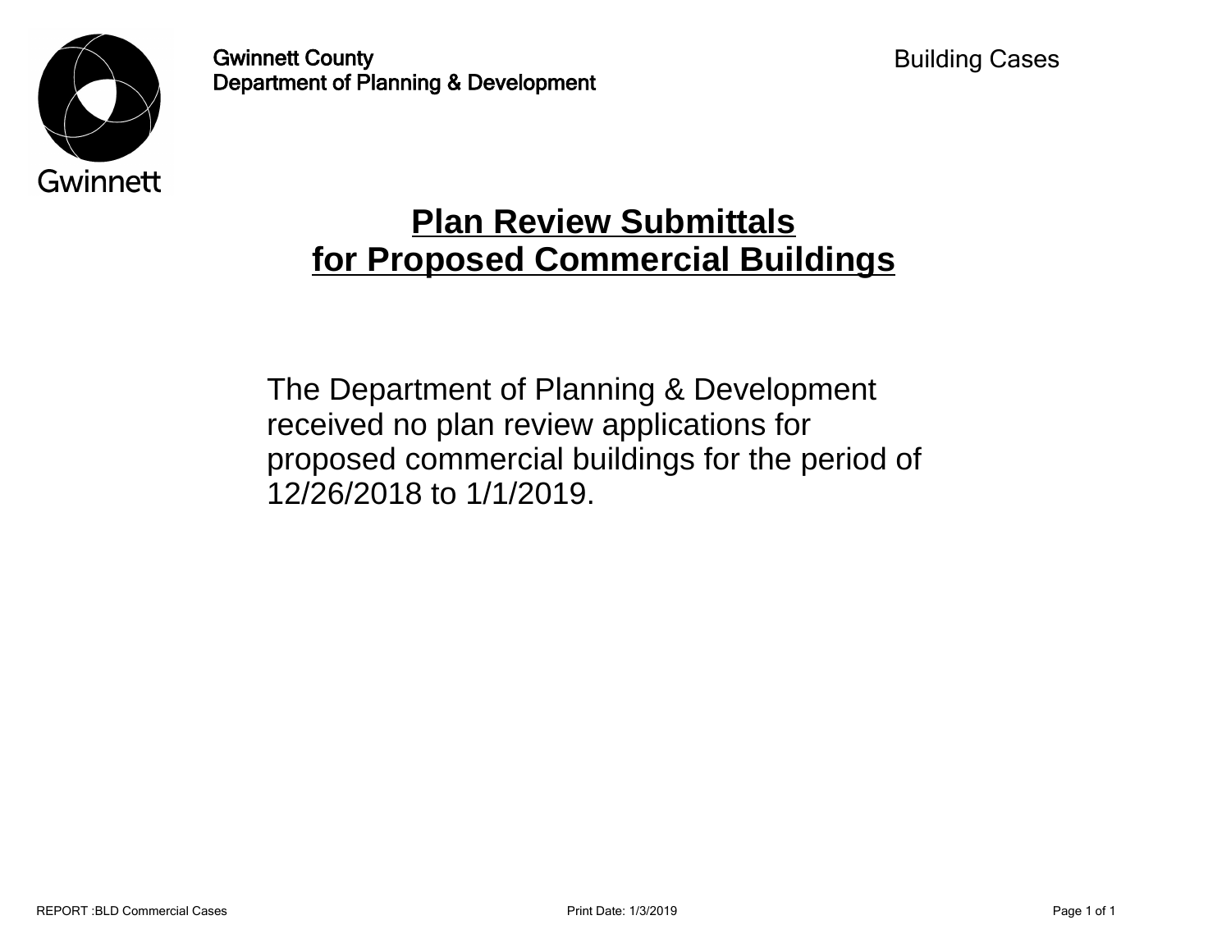

Gwinnett County Department of Planning & Development

## **Plan Review Submittals for Proposed Commercial Buildings**

The Department of Planning & Development received no plan review applications for proposed commercial buildings for the period of 12/26/2018 to 1/1/2019.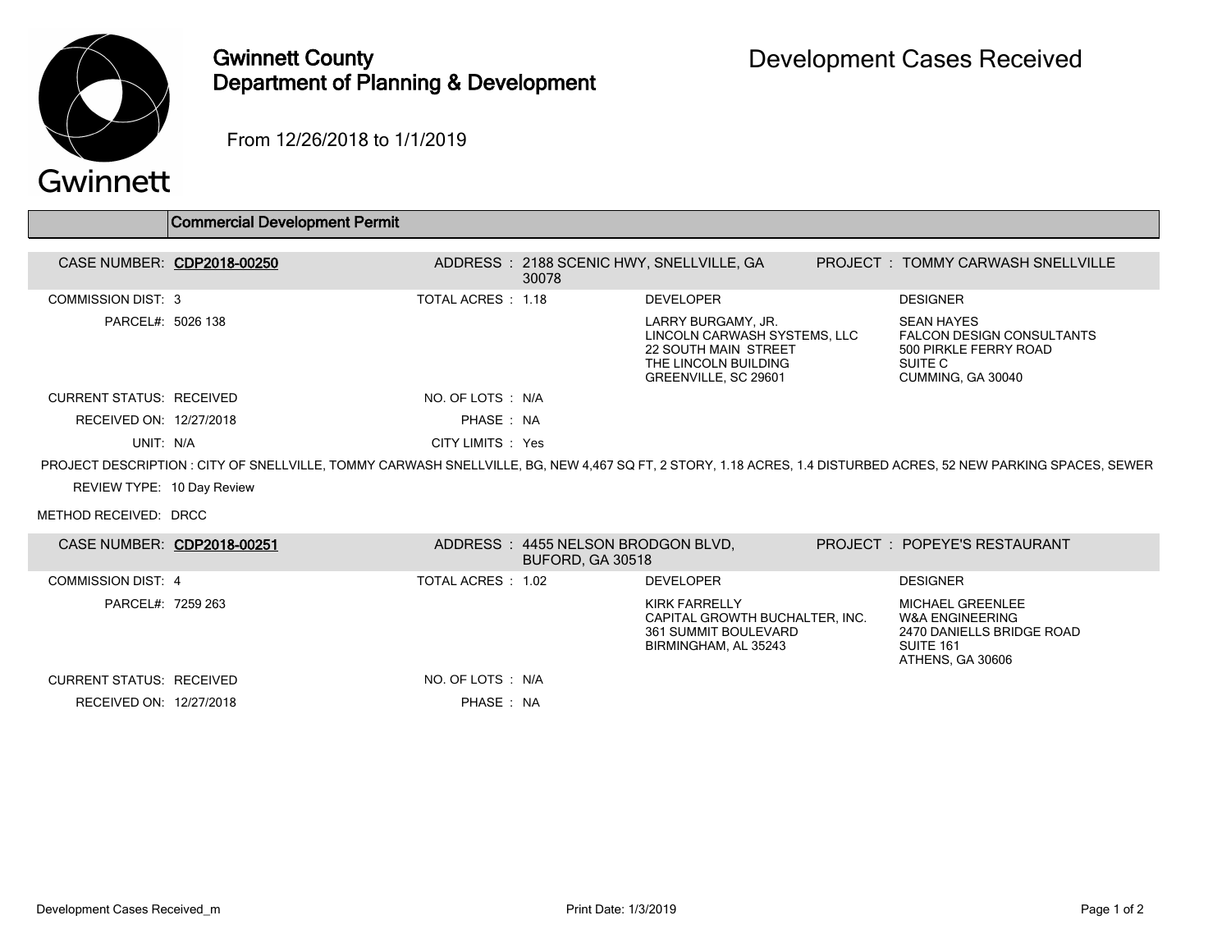

## Gwinnett County Department of Planning & Development

From 12/26/2018 to 1/1/2019

| Gwinnett |  |  |
|----------|--|--|
|          |  |  |

|                                 | <b>Commercial Development Permit</b> |                    |                                                               |                                                                                                                                   |                                                                                                                                                                 |
|---------------------------------|--------------------------------------|--------------------|---------------------------------------------------------------|-----------------------------------------------------------------------------------------------------------------------------------|-----------------------------------------------------------------------------------------------------------------------------------------------------------------|
|                                 | CASE NUMBER: CDP2018-00250           |                    | 30078                                                         | ADDRESS: 2188 SCENIC HWY, SNELLVILLE, GA                                                                                          | <b>PROJECT : TOMMY CARWASH SNELLVILLE</b>                                                                                                                       |
| <b>COMMISSION DIST: 3</b>       |                                      | TOTAL ACRES : 1.18 |                                                               | <b>DEVELOPER</b>                                                                                                                  | <b>DESIGNER</b>                                                                                                                                                 |
| PARCEL#: 5026 138               |                                      |                    |                                                               | LARRY BURGAMY, JR.<br>LINCOLN CARWASH SYSTEMS, LLC<br><b>22 SOUTH MAIN STREET</b><br>THE LINCOLN BUILDING<br>GREENVILLE, SC 29601 | <b>SEAN HAYES</b><br><b>FALCON DESIGN CONSULTANTS</b><br>500 PIRKLE FERRY ROAD<br>SUITE C<br>CUMMING, GA 30040                                                  |
| <b>CURRENT STATUS: RECEIVED</b> |                                      | NO. OF LOTS : N/A  |                                                               |                                                                                                                                   |                                                                                                                                                                 |
| RECEIVED ON: 12/27/2018         |                                      | PHASE: NA          |                                                               |                                                                                                                                   |                                                                                                                                                                 |
| UNIT: N/A                       |                                      | CITY LIMITS : Yes  |                                                               |                                                                                                                                   |                                                                                                                                                                 |
|                                 |                                      |                    |                                                               |                                                                                                                                   | PROJECT DESCRIPTION : CITY OF SNELLVILLE, TOMMY CARWASH SNELLVILLE, BG, NEW 4.467 SQ FT, 2 STORY, 1.18 ACRES, 1.4 DISTURBED ACRES, 52 NEW PARKING SPACES, SEWER |
| REVIEW TYPE: 10 Day Review      |                                      |                    |                                                               |                                                                                                                                   |                                                                                                                                                                 |
| METHOD RECEIVED: DRCC           |                                      |                    |                                                               |                                                                                                                                   |                                                                                                                                                                 |
|                                 | CASE NUMBER: CDP2018-00251           |                    | ADDRESS: 4455 NELSON BRODGON BLVD.<br><b>BUFORD, GA 30518</b> |                                                                                                                                   | PROJECT: POPEYE'S RESTAURANT                                                                                                                                    |
| COMMISSION DIST 4               |                                      | TOTAL ACRES: 1.02  |                                                               | <b>DEVELOPER</b>                                                                                                                  | <b>DESIGNER</b>                                                                                                                                                 |
| PARCEL#: 7259 263               |                                      |                    |                                                               | <b>KIRK FARRELLY</b><br>CAPITAL GROWTH BUCHALTER, INC.<br>361 SUMMIT BOULEVARD<br>BIRMINGHAM, AL 35243                            | <b>MICHAEL GREENLEE</b><br><b>W&amp;A ENGINEERING</b><br>2470 DANIELLS BRIDGE ROAD<br>SUITE 161<br>ATHENS, GA 30606                                             |
| <b>CURRENT STATUS: RECEIVED</b> |                                      | NO. OF LOTS : N/A  |                                                               |                                                                                                                                   |                                                                                                                                                                 |
| RECEIVED ON: 12/27/2018         |                                      | PHASE: NA          |                                                               |                                                                                                                                   |                                                                                                                                                                 |